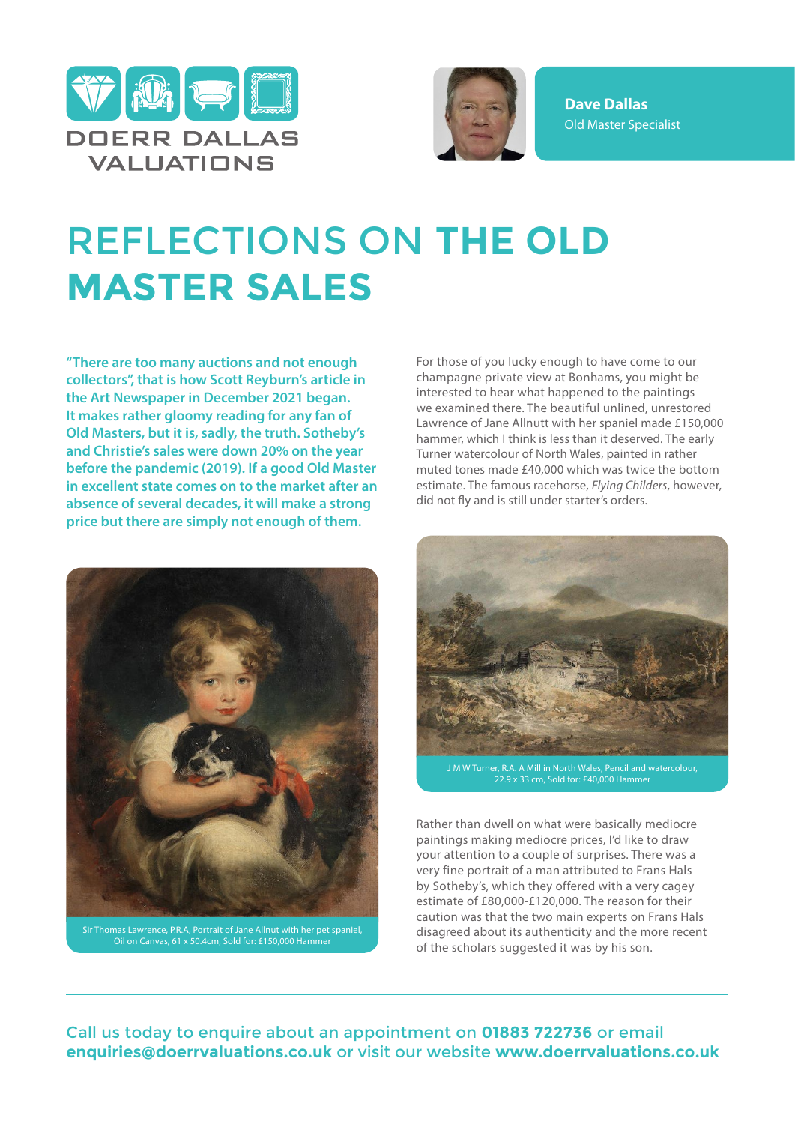



**Dave Dallas** Old Master Specialist

## REFLECTIONS ON **THE OLD MASTER SALES**

**"There are too many auctions and not enough collectors", that is how Scott Reyburn's article in the Art Newspaper in December 2021 began. It makes rather gloomy reading for any fan of Old Masters, but it is, sadly, the truth. Sotheby's and Christie's sales were down 20% on the year before the pandemic (2019). If a good Old Master in excellent state comes on to the market after an absence of several decades, it will make a strong price but there are simply not enough of them.**



Sir Thomas Lawrence, P.R.A, Portrait of Jane Allnut with her pet spaniel, Oil on Canvas, 61 x 50.4cm, Sold for: £150,000 Hammer

For those of you lucky enough to have come to our champagne private view at Bonhams, you might be interested to hear what happened to the paintings we examined there. The beautiful unlined, unrestored Lawrence of Jane Allnutt with her spaniel made £150,000 hammer, which I think is less than it deserved. The early Turner watercolour of North Wales, painted in rather muted tones made £40,000 which was twice the bottom estimate. The famous racehorse, *Flying Childers*, however, did not fly and is still under starter's orders.



J M W Turner, R.A. A Mill in North Wales, Pencil and watercolour, 22.9 x 33 cm, Sold for: £40,000 Hamme

Rather than dwell on what were basically mediocre paintings making mediocre prices, I'd like to draw your attention to a couple of surprises. There was a very fine portrait of a man attributed to Frans Hals by Sotheby's, which they offered with a very cagey estimate of £80,000-£120,000. The reason for their caution was that the two main experts on Frans Hals disagreed about its authenticity and the more recent of the scholars suggested it was by his son.

Call us today to enquire about an appointment on **01883 722736** or email **enquiries@doerrvaluations.co.uk** or visit our website **www.doerrvaluations.co.uk**